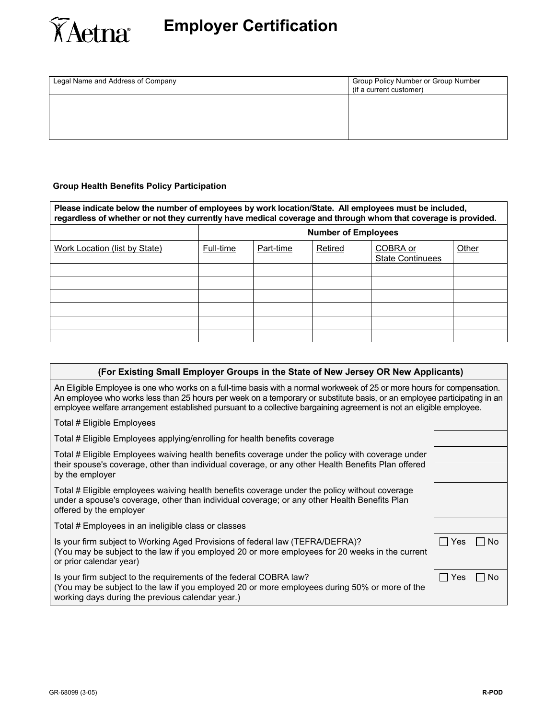

| Legal Name and Address of Company | Group Policy Number or Group Number<br>(if a current customer) |  |  |  |
|-----------------------------------|----------------------------------------------------------------|--|--|--|
|                                   |                                                                |  |  |  |
|                                   |                                                                |  |  |  |

### **Group Health Benefits Policy Participation**

| Please indicate below the number of employees by work location/State. All employees must be included,<br>regardless of whether or not they currently have medical coverage and through whom that coverage is provided. |                            |           |         |                                     |       |  |
|------------------------------------------------------------------------------------------------------------------------------------------------------------------------------------------------------------------------|----------------------------|-----------|---------|-------------------------------------|-------|--|
|                                                                                                                                                                                                                        | <b>Number of Employees</b> |           |         |                                     |       |  |
| Work Location (list by State)                                                                                                                                                                                          | Full-time                  | Part-time | Retired | COBRA or<br><b>State Continuees</b> | Other |  |
|                                                                                                                                                                                                                        |                            |           |         |                                     |       |  |
|                                                                                                                                                                                                                        |                            |           |         |                                     |       |  |
|                                                                                                                                                                                                                        |                            |           |         |                                     |       |  |
|                                                                                                                                                                                                                        |                            |           |         |                                     |       |  |
|                                                                                                                                                                                                                        |                            |           |         |                                     |       |  |
|                                                                                                                                                                                                                        |                            |           |         |                                     |       |  |

| (For Existing Small Employer Groups in the State of New Jersey OR New Applicants)                                                                                                                                                                                                                                                                                          |                  |  |  |  |
|----------------------------------------------------------------------------------------------------------------------------------------------------------------------------------------------------------------------------------------------------------------------------------------------------------------------------------------------------------------------------|------------------|--|--|--|
| An Eligible Employee is one who works on a full-time basis with a normal workweek of 25 or more hours for compensation.<br>An employee who works less than 25 hours per week on a temporary or substitute basis, or an employee participating in an<br>employee welfare arrangement established pursuant to a collective bargaining agreement is not an eligible employee. |                  |  |  |  |
| Total # Eligible Employees                                                                                                                                                                                                                                                                                                                                                 |                  |  |  |  |
| Total # Eligible Employees applying/enrolling for health benefits coverage                                                                                                                                                                                                                                                                                                 |                  |  |  |  |
| Total # Eligible Employees waiving health benefits coverage under the policy with coverage under<br>their spouse's coverage, other than individual coverage, or any other Health Benefits Plan offered<br>by the employer                                                                                                                                                  |                  |  |  |  |
| Total # Eligible employees waiving health benefits coverage under the policy without coverage<br>under a spouse's coverage, other than individual coverage; or any other Health Benefits Plan<br>offered by the employer                                                                                                                                                   |                  |  |  |  |
| Total # Employees in an ineligible class or classes                                                                                                                                                                                                                                                                                                                        |                  |  |  |  |
| Is your firm subject to Working Aged Provisions of federal law (TEFRA/DEFRA)?<br>(You may be subject to the law if you employed 20 or more employees for 20 weeks in the current<br>or prior calendar year)                                                                                                                                                                | $\Box$ Yes<br>No |  |  |  |
| Is your firm subject to the requirements of the federal COBRA law?<br>(You may be subject to the law if you employed 20 or more employees during 50% or more of the<br>working days during the previous calendar year.)                                                                                                                                                    | Yes<br>No        |  |  |  |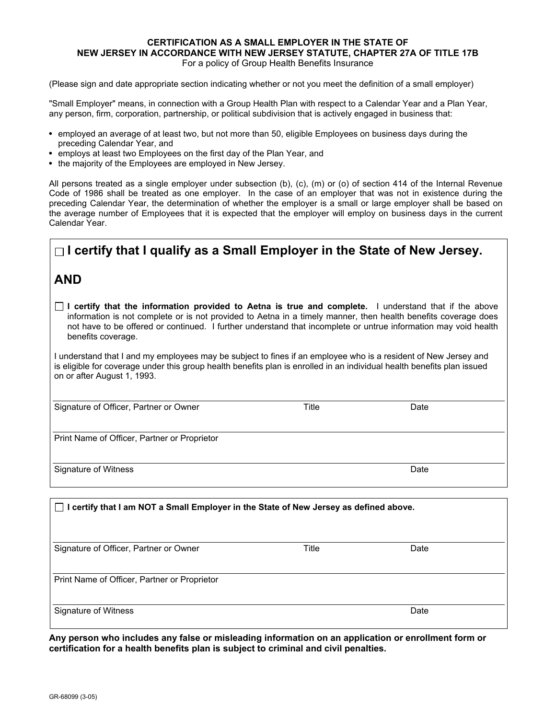## **CERTIFICATION AS A SMALL EMPLOYER IN THE STATE OF NEW JERSEY IN ACCORDANCE WITH NEW JERSEY STATUTE, CHAPTER 27A OF TITLE 17B**

For a policy of Group Health Benefits Insurance

(Please sign and date appropriate section indicating whether or not you meet the definition of a small employer)

"Small Employer" means, in connection with a Group Health Plan with respect to a Calendar Year and a Plan Year, any person, firm, corporation, partnership, or political subdivision that is actively engaged in business that:

- employed an average of at least two, but not more than 50, eligible Employees on business days during the preceding Calendar Year, and
- employs at least two Employees on the first day of the Plan Year, and
- the majority of the Employees are employed in New Jersey.

All persons treated as a single employer under subsection (b), (c), (m) or (o) of section 414 of the Internal Revenue Code of 1986 shall be treated as one employer. In the case of an employer that was not in existence during the preceding Calendar Year, the determination of whether the employer is a small or large employer shall be based on the average number of Employees that it is expected that the employer will employ on business days in the current Calendar Year.

# **I certify that I qualify as a Small Employer in the State of New Jersey.**

## **AND**

**I certify that the information provided to Aetna is true and complete.** I understand that if the above information is not complete or is not provided to Aetna in a timely manner, then health benefits coverage does not have to be offered or continued. I further understand that incomplete or untrue information may void health benefits coverage.

I understand that I and my employees may be subject to fines if an employee who is a resident of New Jersey and is eligible for coverage under this group health benefits plan is enrolled in an individual health benefits plan issued on or after August 1, 1993.

Signature of Officer, Partner or Owner Title Title Changes and Date

Print Name of Officer, Partner or Proprietor

Signature of Witness **Date** 

| I certify that I am NOT a Small Employer in the State of New Jersey as defined above.<br>$\perp$ |       |      |  |  |
|--------------------------------------------------------------------------------------------------|-------|------|--|--|
| Signature of Officer, Partner or Owner                                                           | Title | Date |  |  |
| Print Name of Officer, Partner or Proprietor                                                     |       |      |  |  |
| Signature of Witness                                                                             |       | Date |  |  |

**Any person who includes any false or misleading information on an application or enrollment form or certification for a health benefits plan is subject to criminal and civil penalties.**